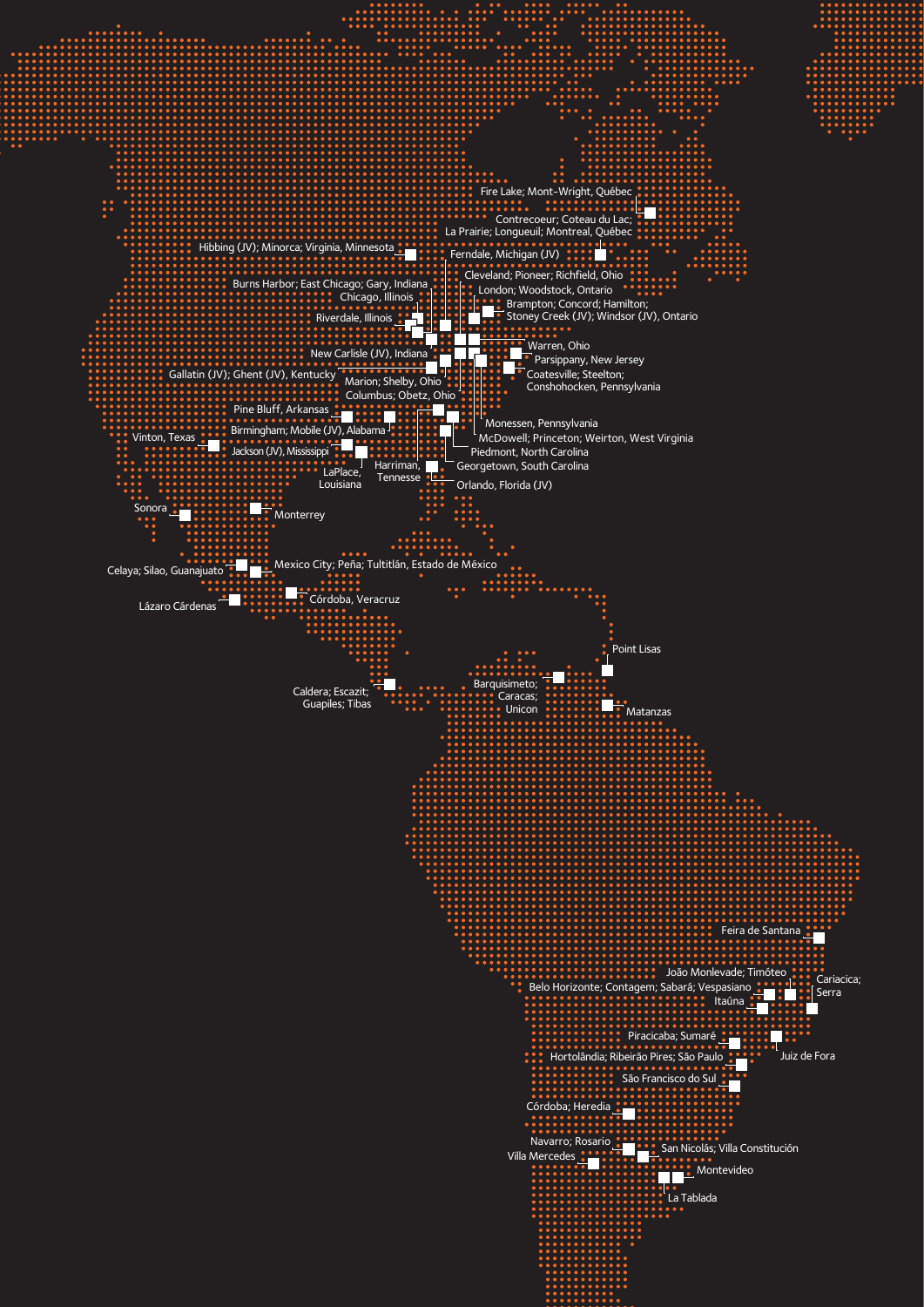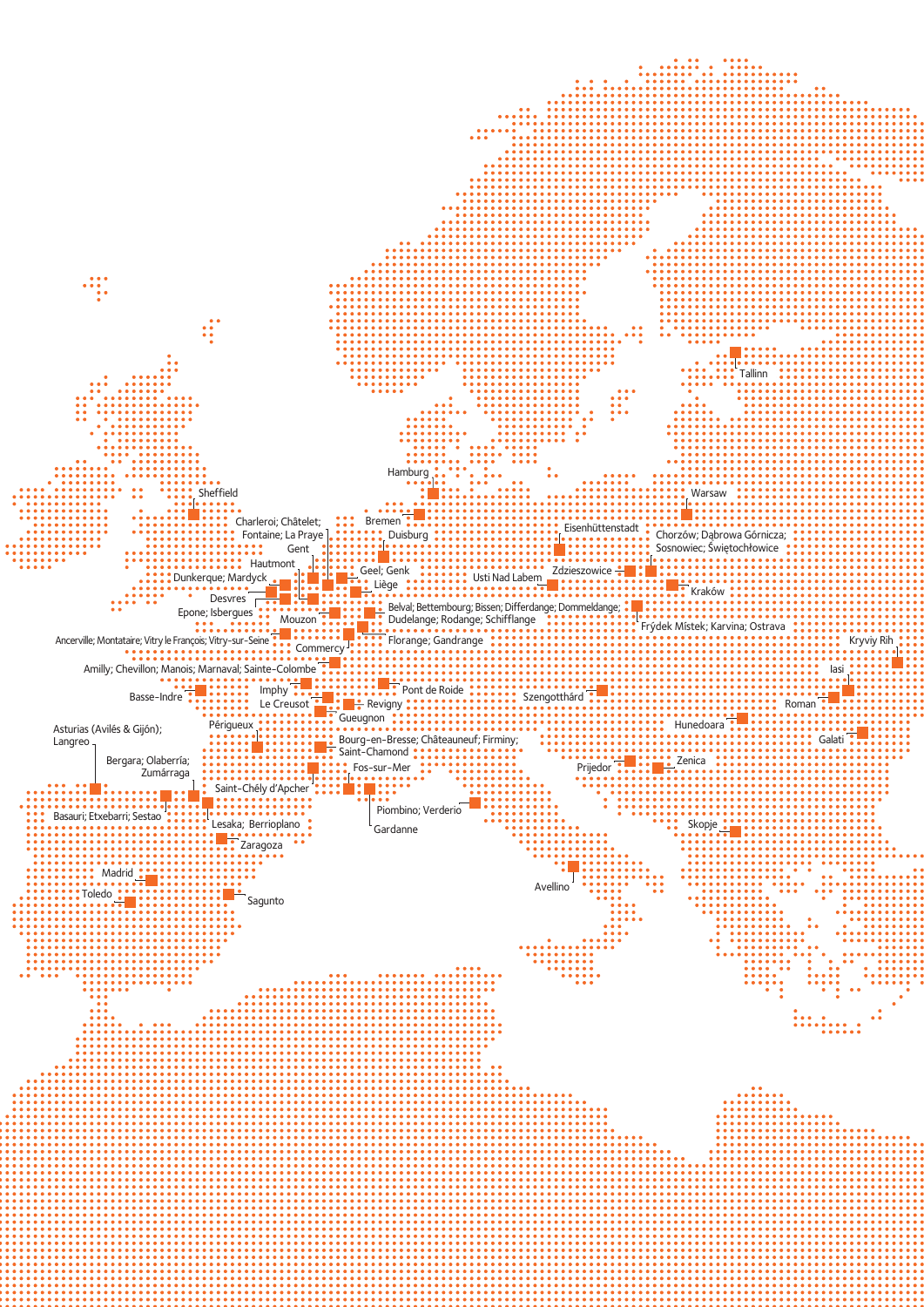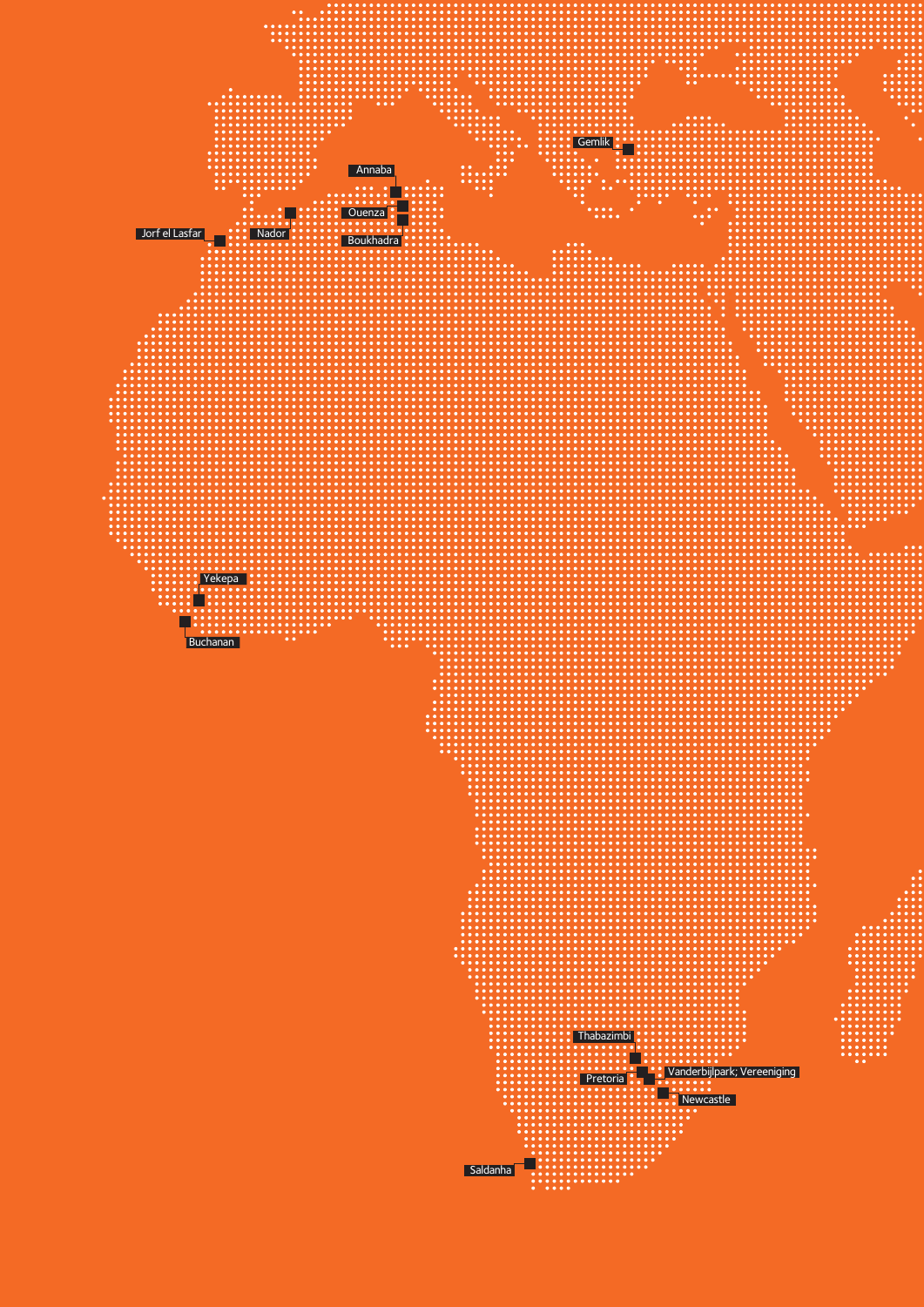